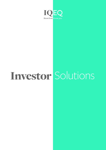

# Investor Solutions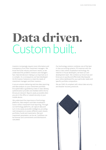## Data driven. Custom built.

Investors increasingly require more information and transparency from their investment managers. We know the funds industry and how it works, so we understand the problems investors and managers face. Data led decision making is as important as it is complex. As a consequence, we have developed IQ-EQ Investor Solutions to meet the needs of investment managers and their investors.

A secure solution delivering real time data reporting and data analysis on your investment portfolio. Encrypted data is guarded by a best in class identity authentication provider and shielded within the IQ-EQ secure network. Reports easily accessible when you are in the office or viewed securely on your mobile device.

We understand the importance of technology platforms, data analytics and data visualisation tools in direct investment fund reporting. Through our technology platforms, we capture data and turn it into easily accessible intelligence, providing real transparency to assess different asset classes, portfolios, funds and investments. Risk and investment parameters can be set. Cashflows can be forecast and commitments and distributions calculated.

Our technology solution combines one of the best in class accounting systems, FIS Investran with the best in class online visualisation technology. No need for in-house developers, we have our own development team. We combine our know how and know you to quickly and effectively fully bespoke your online dashboard for your particular needs and specific portfolio composition.

We are SSAE 18 compliant with robust data security and disaster recovery protocols.



1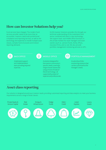### **How can Investor Solutions help you?**

Fund services have changed. The modern fund services provider needs to be more than an accountant. Investors need multi-jurisdictional compliance and reporting services, as well as the technology and expertise to handle multiple asset classes, complex fund structures and investor reporting demands.

IQ-EQ Investor Solutions provides this through our technical understanding of the investment fund sector combined with best in class technology. We support back- and middle office functions in the private markets for asset managers and asset owners (such as pension funds, family offices, insurance firms, and so on). We also provide portfolio management monitoring services to GP's.



A dedicated support and implementation team providing required expertise.



A solution designed for the investor community's specific needs, covering a range of asset classes and using a choice of state of the art technology - all supported by a team of experienced professionals.



#### BACK OFFICE **CONTRACT OFFICE ACCOUNT AND ALL AND AN** PORTFOLIO MANAGEMENT

A suite of portfolio monitoring solutions that can be customised to the manager's needs.

#### **Asset class reporting**

Our solution is designed around your investor needs, providing customised reporting and data analytics to meet your business requirements across a range of asset classes.

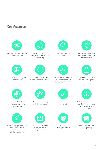### **Key features**



Maintenance of all accounting records and data



Cash flow forecasting and reconciliations



Carried Interest and Management Fee checks and modelling



Disaster recovery and business continuity solutions



Pricing verification checks



A dedicated support and implementation team providing required expertise



One stop-shop solution for investors - back office and middle office



24/7 remote access to run real-time data reports



Choice of state of the art technology, along with full systems support



Fund manager performance & exposure analytics comparison tool tailored to client's investments



Online data retention, archiving and access



A custom-built solution around your investor requirements



SAEE<sub>18</sub> compliant



In-house development team



Online visualisation of your portfolio's performance against sector-specific benchmarks



Investment Portfolio Risk Reporting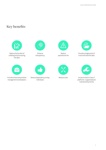## **Key benefits**



Reduce the burden of collating and processing the data



Provide enhanced portfolio management and analytics



Enhance transparency



Reduce dependency on key individuals



Reduce operational risk



Reduce costs



Provide a single point of truth and real time data



Access to best in class IT platforms - supported and maintained by IQ-EQ